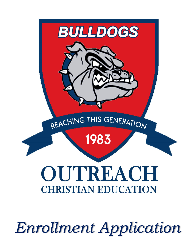

*Enrollment Application*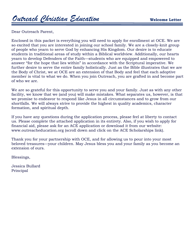Dear Outreach Parent,

Enclosed in this packet is everything you will need to apply for enrollment at OCE. We are so excited that you are interested in joining our school family. We are a closely-knit group of people who yearn to serve God by enhancing His Kingdom. Our desire is to educate students in traditional areas of study within a Biblical worldview. Additionally, our hearts yearn to develop Defenders of the Faith—students who are equipped and empowered to answer "for the hope that lies within" in accordance with the Scriptural imperative. We further desire to serve the entire family holistically. Just as the Bible illustrates that we are the Body of Christ, we at OCE are an extension of that Body and feel that each adoptive member is vital to what we do. When you join Outreach, you are grafted in and become part of who we are.

We are so grateful for this opportunity to serve you and your family. Just as with any other facility, we know that we (and you) will make mistakes. What separates us, however, is that we promise to endeavor to respond like Jesus in all circumstances and to grow from our shortfalls. We will always strive to provide the highest in quality academics, character formation, and spiritual depth.

If you have any questions during the application process, please feel at liberty to contact us. Please complete the attached application in its entirety. Also, if you wish to apply for financial aid, please ask for an ACE application or download it from our website: www.outreacheducation.org (scroll down and click on the ACE Scholarships link).

Thank you for your partnership with OCE, and for allowing us to pour into your most beloved treasures—your children. May Jesus bless you and your family as you become an extension of ours.

Blessings,

Jessica Bullard Principal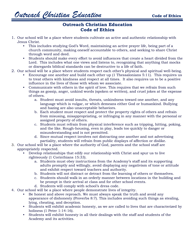### **Outreach Christian Education Code of Ethics**

- 1. Our school will be a place where students cultivate an active and authentic relationship with Jesus Christ.
	- This includes studying God's Word, maintaining an active prayer life, being part of a church community, making oneself accountable to others, and seeking to share Christ through word and deed.
	- Students should make every effort to avoid influences that create a heart divided from the Lord. This includes what one views and listens to, recognizing that anything that mocks or disregards biblical standards can be destructive to a life of faith.
- 2. Our school will be a place where students respect each other's physical and spiritual well-being.
	- Encourage one another and build each other up (1 Thessalonians 5:11). This requires us to treat others with kindness and respect at all times. It also requires us to be a positive influence in the lives of those with whom we associate.
	- Communicate with others in the spirit of love. This requires that we refrain from such things as gossip, anger, unkind words (spoken or written), and cruel jokes at the expense of others.
		- a. Student must avoid insults, threats, unkindness toward one another, and any language which is vulgar, or which demeans either God or humankind. Bullying and hazing are also unacceptable behaviors.
		- b. Each student must respect and protect the property rights of others and refrain from misusing, misappropriating, or infringing in any manner with the personal or assigned property of others.
		- c. Students must refrain from physical interference such as tripping, hitting, poking, and the like. Rough-housing, even in play, leads too quickly to danger or misunderstanding and is not permitted.
		- d. Since mutual respect involves not distracting one another and not advertising partiality, students will refrain from public displays of affection or dislike.
- 3. Our school will be a place where the authority of God, parents and the school staff are appropriately respected.
	- Develop relationships that edify our relationship with Christ and spur us to live righteously (1 Corinthians 15:33).
		- a. Students must obey instructions from the Academy's staff and its supporting adults promptly and willingly, avoid displaying any negativism of tone or attitude and exhibit respect toward teachers and authority.
		- b. Students will not distract or detract from the learning of others or themselves.
		- c. Students should walk in an orderly manner between locations in the building and be prompt in their arrival at class and for other school events.
		- d. Students will comply with school's dress code.
- 4. Our school will be a place where people demonstrate lives of integrity.
	- Be honest and above reproach. We must always speak the truth and avoid any appearance of dishonesty (Proverbs 8:7). This includes avoiding such things as stealing, lying, cheating, and deception.
	- Students will exhibit academic honesty, as we are called to lives that are characterized by holiness (1 Peter 1:14-16).
	- Students will exhibit honesty in all their dealings with the staff and students of the Academy and its activities.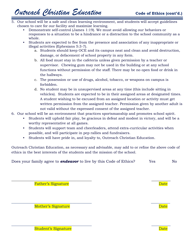- 5. Our school will be a safe and clean learning environment, and students will accept guidelines chosen to care for our facility and maximize learning.
	- Demonstrate self-control (James 1:19). We must avoid allowing our behaviors or responses to a situation to be a hindrance or a distraction to the school community as a whole.
	- Students are expected to flee from the presence and association of any inappropriate or illegal activities (Ephesians 5:3-7).
		- a. Students should keep OCE and its campus neat and clean and avoid destruction, damage, or defacement of school property in any form.
		- b. All food must stay in the cafeteria unless given permission by a teacher or supervisor. Chewing gum may not be used in the building or at any school functions without permission of the staff. There may be no open food or drink in the hallways.
		- c. The possession or use of drugs, alcohol, tobacco, or weapons on campus is forbidden.
		- d. No student may be in unsupervised areas at any time (this include sitting in vehicles). Students are expected to be in their assigned areas at designated times. A student wishing to be excused from an assigned location or activity must get written permission from the assigned teacher. Permission given by another adult is not valid without the expressed consent of the assigned teacher.
- 6. Our school will be an environment that practices sportsmanship and promotes school spirit.
	- Students will uphold fair play, be gracious in defeat and modest in victory, and will be a worthy representative at all games.
	- Students will support team and cheerleaders, attend extra-curricular activities when possible, and will participate in pep rallies and fundraisers.
	- Students will have pride in, and loyalty to, Outreach Christian Education.

Outreach Christian Education, as necessary and advisable, may add to or refine the above code of ethics in the best interests of the students and the mission of the school.

Does your family agree to **endeavor** to live by this Code of Ethics? Yes No

 $\overline{\phantom{a}}$  , and the contract of the contract of the contract of the contract of the contract of the contract of the contract of the contract of the contract of the contract of the contract of the contract of the contrac

 $\overline{\phantom{a}}$  , and the contract of the contract of the contract of the contract of the contract of the contract of the contract of the contract of the contract of the contract of the contract of the contract of the contrac

 $\overline{\phantom{a}}$  , and the contract of the contract of the contract of the contract of the contract of the contract of the contract of the contract of the contract of the contract of the contract of the contract of the contrac

**Father's Signature Date** 

Mother's Signature and Date Date of the Date of the Date of the Date of the Date of the Date of the Date of the Date of the Date of the Date of the Date of the Date of the Date of the Date of the Date of the Date of the Da

Student's Signature Date of the Student's Signature Date of the Date of the Date of the Date of the Date of the Date of the Date of the Date of the Date of the Date of the Date of the Date of the Date of the Date of the Da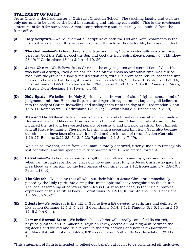#### **STATEMENT OF FAITH\***

Jesus Christ is the headmaster of Outreach Christian School. The teaching faculty and staff are only servants to be used by the Lord in educating and training each child. This is the *condensed*  statement of faith for our school. A more comprehensive statement may be obtained from the front office.

- **(A) Holy Scripture—**We believe that all scripture of both the Old and New Testaments is the inspired Word of God. It is without error and the sole authority for life, faith and conduct.
- **(B) The Godhead—**We believe there is one true and living God who eternally exists in three persons: God the Father, God the Son and God the Holy Spirit (Deuteronomy 6:4; Matthew 28:19; II Corinthians 13:14; John 14:10, 26).
- **(C) Jesus Christ—**We Believe Jesus Christ is the only begotten and eternal Son of God. He was born of a virgin, lived a sinless life, died on the cross as our substitute, was buried, rose from the grave in a bodily resurrection and, with His promise to return, ascended into heaven to be seated at the right hand of God (Isaiah 7:14; 9:6; Luke 1:35; John 1:1-2, 14; II Corinthians 5:19-21; Galatians 4:4-5; Philippians 2:5-8; Acts 2:18-36; Romans 3:24-25; I Peter 2:24; Ephesians 1:7; I Peter 1:3-5).
- **(D) Holy Spirit—**We believe the Holy Spirit convicts the world of sin, of righteousness, and of judgment; and, that He is the Supernatural Agent in regeneration, baptizing all believers into the body of Christ, indwelling and sealing them unto the day of full redemption (John 16:8-11; Romans 8:9; I Corinthians 12:12-14; II Corinthians 3:6; Ephesians 1:13-14).
- **(E) Man and the Fall—**We believe man is the special and eternal creation which God made in His own image and likeness. However, when the first man, Adam, voluntarily sinned, he incurred the just and forewarned penalty of spiritual and physical death for both himself and all future humanity. Therefore, his sin, which separated him from God, also became our sin; so all have been alienated from God and are in need of reconciliation (Genesis 1:26-27; Romans 3:22-23; 5:12; 6:23; Ephesians 2:1-3; 4:17-19).

We also believe that, apart from God, man is totally depraved, utterly unable to remedy his lost condition, and will spend eternity separated from Him in eternal torment.

- **(F) Salvation—**We believe salvation is the gift of God, offered to man by grace and received when we, through repentance, place our hope and trust fully in Jesus Christ who gave His life's blood as a ransom for the forgiveness of our sins (John 1:12; Ephesians 1:7; 2:8-10; I Peter 1:18-19).
- **(G) The Church—**We believe that all who put their faith in Jesus Christ are immediately placed by the Holy Spirit into a singular united spiritual body recognized as the church. The local assembling of believers, with Jesus Christ as the head, is the visible, physical expression of this spiritual body (I Corinthians 12:12-14; II Corinthians 11:2; Ephesians 1:22-23; 5:25-27).
- **(H) Lifestyle—**We believe it is the will of God to live a life devoted to scripture and defined by like action (Romans 12:1-2; 14:13; II Corinthians 6:14; 7:1; II Timothy 3:1-5; I John 2:15- 17; II John 9-11).
- **(I) Last and Eternal State**—We believe Jesus Christ will literally come for His church, physically establish His millennial reign on earth, decree a final judgment between the righteous and wicked and rule forever in the new heavens and new earth (Matthew 25:41- 46; Mark 9:43-48; Luke 16:19-26; II Thessalonians 1:7-9; Jude 6-7; Revelation 20:11- 15).

\*This statement of faith is intended to reflect our beliefs but is not to be considered all-inclusive.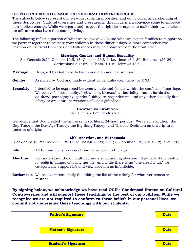#### **OCE'S CONDENSED STANCE ON CULTURAL CONTROVERSIES**

The subjects below represent our steadfast scriptural position and our biblical understanding of those Scriptures. Cultural diversities and pressures in this modern era convince some to embrace non-biblical change. While we regard and respect the right for everyone to make their own choices, we affirm we also have that same privilege.

The following reflect a portion of what we believe at OCE and what we expect families to support as we partner together to educate your children in these difficult days. A more comprehensive Position on Cultural Concerns and Differences may be obtained from the front office.

#### **Marriage, Gender, and Human Sexuality**

See Genesis 2:24; Genesis 19:5, 13; Genesis 26:8-9; Leviticus 18:1-30; Romans 1:26-29; I Corinthians 5:1; 6:9; I Thess. 4:1-8; Hebrews 13:4.

- **Marriage** Designed by God to be between one man and one woman
- **Gender** Assigned by God and made evident by genitalia (confirmed by DNA)
- **Sexuality** Intended to be expressed between a male and female within the confines of marriage. We believe homosexuality, lesbianism, bisexuality, bestiality, incest, fornication, adultery, pornography, gender fluidity, transgenderism, and any other sexually fluid lifestyles are sinful perversions of God's gift of sex.

#### **Creation vs. Evolution**

See Genesis 1-2; Exodus 20:11

We believe that God created the universe in six literal 24-hour periods. We reject evolution, the Gap Theory, the Day-Age Theory, the Big Bang Theory, and Theistic Evolution as unscriptural theories of origin.

#### **Life, Abortion, and Euthanasia**

See Job 3:16; Psalms 51:5; 139:14-16; Isaiah 44:24; 49:1; 5; Jeremiah 1:5; 20:15-18; Luke 1:44.

- **Life** All human life is precious from the unborn to the aged.
- **Abortion** We understand the difficult decisions surrounding abortion. Especially if the mother is *really* in danger of losing her life. And while there is no "one size fits all," we categorically support life and view abortion as infanticide.
- **Euthanasia** We believe intentionally the taking the life of the elderly for whatever reason is murder.

**By signing below, we acknowledge we have read OCE's Condensed Stance on Cultural Controversies and will support these teachings to the best of our abilities. While we recognize we are not required to conform to these beliefs in our personal lives, we commit not undermine these teachings with our students.**

| <b>Father's Signature</b>                    |  | <b>Date</b> |
|----------------------------------------------|--|-------------|
|                                              |  |             |
| <b>Mother's Signature</b><br><b>Contract</b> |  | <b>Date</b> |
|                                              |  |             |
| <b>Student's Signature</b>                   |  | <b>Date</b> |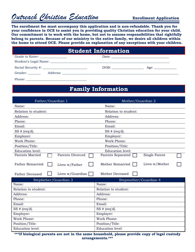# *Outreach Christian Education* **Enrollment Application**

**The enrollment fee must accompany this application and is non-refundable. Thank you for your confidence in OCE to assist you in providing quality Christian education for your child. Our commitment is to work with the home, but not to assume responsibilities that rightfully belong to parents. Because of our ministry to the entire family, we desire all children within the home to attend OCE. Please provide an explanation of any exceptions with your children.**

### **Student Information**

| Grade to Enter: _______________ |      |      |
|---------------------------------|------|------|
|                                 |      |      |
| Social Security #:              | DOB: | Age: |
| Gender:                         |      |      |
| Phone:                          |      |      |

## **Family Information**

| Father/Guardian 1                          | Mother/Guardian 2                  |
|--------------------------------------------|------------------------------------|
| Name:                                      | Name:                              |
| Relation to student:                       | Relation to student:               |
| Address:                                   | Address:                           |
| Phone:                                     | Phone:                             |
| Email:                                     | Email:                             |
| SS # (req'd).                              | SS # (req'd).                      |
| Employer:                                  | Employer:                          |
| <b>Work Phone:</b>                         | Work Phone:                        |
| Position/Title:                            | Position/Title:                    |
| <b>Education level:</b>                    | <b>Education level:</b>            |
| <b>Parents Married</b><br>Parents Divorced | Single Parent<br>Parents Separated |
| <b>Father Remarried</b><br>Lives w/Father  | Lives w/Mother<br>Mother Remarried |
| Lives w/Guardian<br><b>Father Deceased</b> | Mother Deceased                    |
| Stepfather/Guardian 3                      | Stepmother/Guardian 4              |
| Name:                                      | Name:                              |
| Relation to student:                       | Relation to student:               |
| Address:                                   | Address:                           |
| Phone:                                     | Phone:                             |
| Email:                                     | Email:                             |
| SS # (req'd).                              | $SS$ # (req'd).                    |
| Employer:                                  | Employer:                          |
| Work Phone:                                | Work Phone:                        |
| Position/Title:                            | Position/Title:                    |
| <b>Education level:</b>                    | <b>Education level:</b>            |

**\*\*\*If biological parents are not in the same household, please provide copy of legal custody arrangements.\*\*\***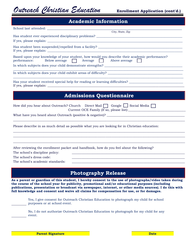*Outreach Christian Education* **Enrollment Application (cont'd.)**

## **Academic Information**

| City, State, Zip                                                                                                                                                                                                                                                                                                                                                                                                   |
|--------------------------------------------------------------------------------------------------------------------------------------------------------------------------------------------------------------------------------------------------------------------------------------------------------------------------------------------------------------------------------------------------------------------|
|                                                                                                                                                                                                                                                                                                                                                                                                                    |
|                                                                                                                                                                                                                                                                                                                                                                                                                    |
| Based upon your knowledge of your student, how would you describe their academic performance?<br>performance:<br>Below average $\Box$<br>Average     Above average                                                                                                                                                                                                                                                 |
|                                                                                                                                                                                                                                                                                                                                                                                                                    |
| <u> 1989 - Johann Harry Harry Harry Harry Harry Harry Harry Harry Harry Harry Harry Harry Harry Harry Harry Harry</u>                                                                                                                                                                                                                                                                                              |
| Has your student received special help for reading or learning difficulties? _________________________________                                                                                                                                                                                                                                                                                                     |
| <b>Admissions Questionnaire</b>                                                                                                                                                                                                                                                                                                                                                                                    |
| How did you hear about Outreach? Church Direct Mail   Google   Social Media                                                                                                                                                                                                                                                                                                                                        |
|                                                                                                                                                                                                                                                                                                                                                                                                                    |
| Please describe in as much detail as possible what you are looking for in Christian education:                                                                                                                                                                                                                                                                                                                     |
|                                                                                                                                                                                                                                                                                                                                                                                                                    |
| After reviewing the enrollment packet and handbook, how do you feel about the following?<br>The school's discipline policy:                                                                                                                                                                                                                                                                                        |
| The school's dress code:<br><u> 1989 - Johann John Stone, markin sanadi amerikan bahasa dalam kemudian bahasa dalam bahasa dalam bahasa dala</u><br>The school's academic standards:                                                                                                                                                                                                                               |
|                                                                                                                                                                                                                                                                                                                                                                                                                    |
| <b>Photography Release</b>                                                                                                                                                                                                                                                                                                                                                                                         |
| As a parent or guardian of this student, I hereby consent to the use of photographs/video taken during<br>the course of the school year for publicity, promotional and/or educational purposes (including<br>publications, presentation or broadcast via newspaper, internet, or other media sources). I do this with<br>full knowledge and consent and waive all claims for compensation for use, or for damages. |
| Yes, I give consent for Outreach Christian Education to photograph my child for school<br>purposes or at school event.                                                                                                                                                                                                                                                                                             |
| No, I do not authorize Outreach Christian Education to photograph for my child for any<br>event.                                                                                                                                                                                                                                                                                                                   |

**Parent Signature Date Date Date Date Date**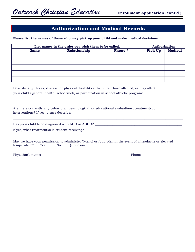### **Authorization and Medical Records**

**Please list the names of those who may pick up your child and make medical decisions.**

| List names in the order you wish them to be called. |              |         | Authorization |                |
|-----------------------------------------------------|--------------|---------|---------------|----------------|
| <b>Name</b>                                         | Relationship | Phone # | Pick Up       | <b>Medical</b> |
|                                                     |              |         |               |                |
|                                                     |              |         |               |                |
|                                                     |              |         |               |                |
|                                                     |              |         |               |                |
|                                                     |              |         |               |                |

\_\_\_\_\_\_\_\_\_\_\_\_\_\_\_\_\_\_\_\_\_\_\_\_\_\_\_\_\_\_\_\_\_\_\_\_\_\_\_\_\_\_\_\_\_\_\_\_\_\_\_\_\_\_\_\_\_\_\_\_\_\_\_\_\_\_\_\_\_\_\_\_\_\_\_\_\_\_\_\_\_\_\_\_\_\_\_\_\_\_\_\_\_\_\_\_ \_\_\_\_\_\_\_\_\_\_\_\_\_\_\_\_\_\_\_\_\_\_\_\_\_\_\_\_\_\_\_\_\_\_\_\_\_\_\_\_\_\_\_\_\_\_\_\_\_\_\_\_\_\_\_\_\_\_\_\_\_\_\_\_\_\_\_\_\_\_\_\_\_\_\_\_\_\_\_\_\_\_\_\_\_\_\_\_\_\_\_\_\_\_\_\_

 $\_$  , and the set of the set of the set of the set of the set of the set of the set of the set of the set of the set of the set of the set of the set of the set of the set of the set of the set of the set of the set of th

 $\_$  , and the set of the set of the set of the set of the set of the set of the set of the set of the set of the set of the set of the set of the set of the set of the set of the set of the set of the set of the set of th

Describe any illness, disease, or physical disabilities that either have affected, or may affect, your child's general health, schoolwork, or participation in school athletic programs.

Are there currently any behavioral, psychological, or educational evaluations, treatments, or interventions? If yes, please describe: \_\_\_\_\_\_\_\_\_\_\_\_\_\_\_\_\_\_\_\_\_\_\_\_\_\_\_\_\_\_\_\_\_\_\_\_\_\_\_\_\_\_\_\_\_\_\_\_\_\_\_\_\_\_\_\_\_\_\_\_\_\_\_\_\_\_\_\_\_

Has your child been diagnosed with ADD or ADHD? \_\_\_\_\_\_\_\_\_\_\_\_\_\_\_\_\_\_\_\_\_\_\_\_\_\_\_\_\_\_\_\_

If yes, what treatment(s) is student receiving? \_\_\_\_\_\_\_\_\_\_\_\_\_\_\_\_\_\_\_\_\_\_\_\_\_\_\_\_\_\_\_\_

May we have your permission to administer Tylenol or ibuprofen in the event of a headache or elevated temperature? Yes No (circle one)

Physician's name: \_\_\_\_\_\_\_\_\_\_\_\_\_\_\_\_\_\_\_\_\_\_\_\_\_\_\_\_\_\_\_\_\_ Phone:\_\_\_\_\_\_\_\_\_\_\_\_\_\_\_\_\_\_\_\_\_\_\_\_\_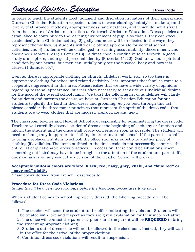# *Outreach Christian Education* **Dress Code**

In order to teach the students good judgment and discretion in matters of their appearance, Outreach Christian Education expects students to wear clothing, hairstyles, make-up and jewelry that promote modesty, appropriateness, and neatness, and which do not distract from the climate of Christian education at Outreach Christian Education. Dress policies are established to contribute to the learning environment of pupils so that 1) they can excel academically in a Christian setting, 2) godly character will be reflected in the ways they represent themselves, 3) students will wear clothing appropriate for normal school activities, and 4) students will be challenged in learning accountability, discernment, and obedience (Hebrews 5:14; 1 Peter 2:13). A dress code is conducive to self-worth, a good study atmosphere, and a good personal identity (Proverbs 11:22). God knows our spiritual condition by our hearts, but men can initially only see the physical body and how it is attired (1 Samuel 16:7).

Even as there is appropriate clothing for church, athletics, work, etc., so too there is appropriate clothing for school and related activities. It is important that families come to a cooperative agreement in this area. Please realize that we have a wide variety of opinions regarding personal appearance, but it is often necessary to set aside our individual desires for the good of the overall school family. We trust the following list of guidelines will clarify for students and parents the desire we have at Outreach Christian Education for our students to glorify the Lord in their dress and grooming. As you read through this list, please consider the three major principles that represent the spirit of the dress code: that students are to wear clothes that are modest, appropriate and neat.

The classroom teacher and Head of School are responsible for administering the dress code. Teachers will carefully observe students' dress at the beginning of each day or function and inform the student and the office staff of any concerns as soon as possible. The student will need to change any inappropriate clothing in order to attend school. If the parent is unable to bring a replacement item to school, the office staff may substitute another piece of clothing (if available). The items outlined in the dress code do not necessarily comprise the entire list of questionable dress practices. On occasion, there could be situations where something not listed may have to be brought to the attention of the student and parent. If a question arises on any issue, the decision of the Head of School will prevail.

#### **Acceptable uniform colors are white, black, red, navy, gray, khaki, and "blue red" or "navy red" plaid\*.**

\*Plaid colors derived from French Toast website.

#### **Procedure for Dress Code Violations**

*Students will be given two warnings before the following procedures take place.*

When a student comes to school improperly dressed, the following procedure will be followed:

1. The teacher will send the student to the office indicating the violation. Students will be treated with love and respect as they are given explanation for their incorrect attire.

2. The office will contact the parent by phone and the parent will be **REQUIRED** to bring the student appropriate clothing.

- 3. Students out of dress code will not be allowed in the classroom. Instead, they will wait in the office for the arrival of the proper clothing.
- 4. Continual dress code violations will result in suspension.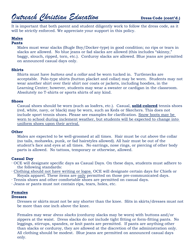# *Outreach Christian Education* **Dress Code (cont'd.)**

It is important that both parent and student diligently work to follow the dress code, as it will be strictly enforced. We appreciate your support in this policy.

#### **Males**

#### **Pants**

Males must wear slacks (Bugle Boy/Docker-type) in good condition; no rips or tears in slacks are allowed. No blue jeans or fad slacks are allowed (this includes "skinny," baggy, slouch, ripped, torn, etc.). Corduroy slacks are allowed. Blue jeans are permitted on announced casual days only.

#### **Shirts**

Shirts must have *buttons and a collar* and be worn tucked in. Turtlenecks are acceptable. Polo-type shirts (button placket and collar) may be worn. Students may not wear another shirt over their shirt nor coats or jackets, including hoodies, in the Learning Center; however, students may wear a sweater or cardigan in the classroom. Absolutely no T-shirts or sports shirts of any kind.

#### **Shoes**

Casual shoes should be worn (such as loafers, etc.). Casual, **solid-colored** tennis shoes (red, white, navy, or black) may be worn, such as Keds or Skechers. This does not include sport tennis shoes. Please see examples for clarification. Snow boots may be worn to school during inclement weather, but students will be expected to change into uniform shoes upon their arrival.

#### **Other**

Males are expected to be well-groomed at all times. Hair must be cut above the collar (no tails, mohawks, punk, or fad hairstyles allowed). All hair must be out of the student's face and eyes at all times. No earrings, nose rings, or piercing of other body parts is allowed. No tattoos, temporary or otherwise, allowed.

#### **Casual Day**

- · OCE will designate specific days as Casual Days. On these days, students must adhere to the following standards:
- · Clothing should not have writing or logos. OCE will designate certain days for Chiefs or Royals apparel. These items are only permitted on those pre-communicated days.
- · Tennis shoes and other comfortable shoes are permitted on casual days.
- · Jeans or pants must not contain rips, tears, holes, etc.

#### **Females**

#### **Dresses**

Dresses or skirts must not be any shorter than the knee. Slits in skirts/dresses must not be more than one inch above the knee.

Females may wear *dress slacks* (corduroy slacks may be worn) with buttons and/or zippers at the waist. Dress slacks do not include tight fitting or form-fitting pants. No leggings, stirrups, spandex, or knit pants are permitted. If pants are anything other than slacks or corduroy, they are allowed at the discretion of the administration only. All clothing should be modest. Blue jeans are permitted on announced casual days only.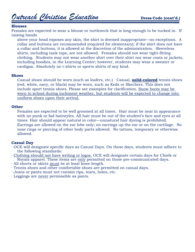#### **Blouses**

Females are expected to wear a blouse or turtleneck that is long enough to be tucked in. If raising hands

above your head exposes any skin, the shirt is deemed inappropriate—no exceptions. A collar and buttons are recommended (required for elementary); if the shirt does not have a collar and buttons, it is allowed at the discretion of the administration. Sleeveless shirts, including tank tops, are not allowed. Females should not wear tight-fitting clothing. Students may not wear another shirt over their shirt nor wear coats or jackets, including hoodies, in the Learning Center; however, students may wear a sweater or cardigan. Absolutely no t-shirts or sports shirts of any kind.

#### **Shoes**

Casual shoes should be worn (such as loafers, etc.) Casual, **solid-colored** tennis shoes (red, white, navy, or black) may be worn, such as Keds or Skechers. This does not include sport tennis shoes. Please see examples for clarification. Snow boots may be worn to school during inclement weather, but students will be expected to change into uniform shoes upon their arrival.

#### **Other**

Females are expected to be well groomed at all times. Hair must be neat in appearance with no punk or fad hairstyles. All hair must be out of the student's face and eyes at all times. Hair should appear natural in color—unnatural hair dyeing is prohibited. Earrings are allowed on the ear lobe only; no earrings up the ear or on the cartilage. No nose rings or piercing of other body parts allowed. No tattoos, temporary or otherwise allowed.

#### **Casual Day**

- · OCE will designate specific days as Casual Days. On these days, students must adhere to the following standards:
- · Clothing should not have writing or logos. OCE will designate certain days for Chiefs or Royals apparel. These items are only permitted on those pre-communicated days.
- · All shorts or skirts must be at least knee-length.
- · Tennis shoes and other comfortable shoes are permitted on casual days.
- · Jeans or pants must not contain rips, tears, holes, etc.
- · Leggings are never permissible as pants.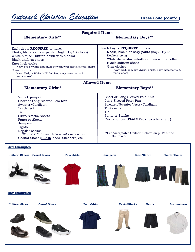|                                                                                              |                                                                                                                                                                                            | <b>Required Items</b>                                            |                                                                                                                                                                                                                                                    |                          |                |                                                      |
|----------------------------------------------------------------------------------------------|--------------------------------------------------------------------------------------------------------------------------------------------------------------------------------------------|------------------------------------------------------------------|----------------------------------------------------------------------------------------------------------------------------------------------------------------------------------------------------------------------------------------------------|--------------------------|----------------|------------------------------------------------------|
|                                                                                              | <b>Elementary Girls**</b>                                                                                                                                                                  |                                                                  |                                                                                                                                                                                                                                                    | <b>Elementary Boys**</b> |                |                                                      |
| Black uniform shoes<br>Knee high socks<br>Gym clothes<br>tennis shoes)                       | Each girl is <b>REQUIRED</b> to have:<br>Khaki, black, or navy pants (Bugle Boy/Dockers)<br>White blouse-button-down with a collar<br>(Navy, Red, or White OCE T-shirts, navy sweatpants & | (Navy, red or white and must be worn with skirts, skorts/shorts) | Each boy is <b>REQUIRED</b> to have:<br>Khaki, black, or navy pants (Bugle Boy or<br>Dockers-style)<br>White dress shirt-button-down with a collar<br><b>Black uniform shoes</b><br>Gym clothes<br>tennis shoes)                                   |                          |                | (Navy, Red, or White OCE T-shirts, navy sweatpants & |
|                                                                                              |                                                                                                                                                                                            | <b>Allowed Items</b>                                             |                                                                                                                                                                                                                                                    |                          |                |                                                      |
|                                                                                              | <b>Elementary Girls**</b>                                                                                                                                                                  |                                                                  |                                                                                                                                                                                                                                                    | <b>Elementary Boys**</b> |                |                                                      |
| V-neck jumper<br>Turtleneck<br>Tie<br>Pants or Slacks<br>Jumpers<br>Tights<br>Regular socks* | Short or Long-Sleeved Polo Knit<br>Sweater/Cardigan<br>Skirt/Skorts/Shorts<br>*Worn ONLY during winter months with pants<br>Casual Shoes (PLAIN Keds, Skechers, etc.)                      |                                                                  | Short or Long-Sleeved Polo Knit<br>Long-Sleeved Peter Pan<br>Sweater/Sweater Vests/Cardigan<br>Turtleneck<br>Tie<br>Pants or Slacks<br>Casual Shoes (PLAIN Keds, Skechers, etc.)<br>**See "Acceptable Uniform Colors" on p. 42 of the<br>Handbook. |                          |                |                                                      |
| <b>Girl Examples</b><br><b>Uniform Shoes:</b>                                                | <b>Casual Shoes:</b>                                                                                                                                                                       | Polo shirts:                                                     | Jumpers:                                                                                                                                                                                                                                           | Skirt/Skort:             |                | <b>Shorts/Pants:</b>                                 |
|                                                                                              |                                                                                                                                                                                            |                                                                  |                                                                                                                                                                                                                                                    |                          |                |                                                      |
| <b>Boy Examples</b>                                                                          |                                                                                                                                                                                            |                                                                  |                                                                                                                                                                                                                                                    |                          |                |                                                      |
| <b>Uniform Shoes:</b>                                                                        | <b>Casual Shoes:</b>                                                                                                                                                                       | Polo shirts:                                                     |                                                                                                                                                                                                                                                    | Pants/Slacks:            | <b>Shorts:</b> | <b>Button-down:</b>                                  |
|                                                                                              |                                                                                                                                                                                            |                                                                  |                                                                                                                                                                                                                                                    |                          |                |                                                      |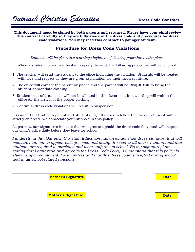**This document must be signed by both parents and returned. Please have your child review this contract carefully so they are fully aware of the dress code and procedures for dress code violations. You may read this contract to younger student.**

#### **Procedure for Dress Code Violations**

*Students will be given two warnings before the following procedures take place.*

When a student comes to school improperly dressed, the following procedure will be followed:

- 1. The teacher will send the student to the office indicating the violation. Students will be treated with love and respect as they are given explanation for their incorrect attire.
- 2. The office will contact the parent by phone and the parent will be **REQUIRED** to bring the student appropriate clothing.
- 3. Students out of dress code will not be allowed in the classroom. Instead, they will wait in the office for the arrival of the proper clothing.
- 4. Continual dress code violations will result in suspension.

It is important that both parent and student diligently work to follow the dress code, as it will be strictly enforced. We appreciate your support in this policy.

As parents, our signatures indicate that we agree to uphold the dress code fully, and will inspect our child's attire daily before they leave for school.

*I understand that Outreach Christian Education has an established dress standard that will motivate students to appear well-groomed and neatly-dressed at all times. I understand that students are required to purchase and wear uniforms to school. By my signature, I am stating that I have read and agree to the Dress Code Policy. I understand that this policy is effective upon enrollment. I also understand that this dress code is in effect during school and at all school-related functions.*

**Father's Signature**

**Date**

**Mother's Signature**

**Date**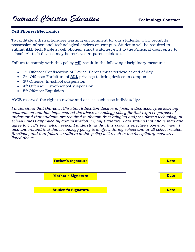# Outreach Christian Education **Technology Contract**

#### **Cell Phones/Electronics**

To facilitate a distraction-free learning environment for our students, OCE prohibits possession of personal technological devices on campus. Students will be required to submit **ALL** tech (tablets, cell phones, smart watches, etc.) to the Principal upon entry to school. All tech devices may be retrieved at parent pick-up.

Failure to comply with this policy will result in the following disciplinary measures:

- 1st Offense: Confiscation of Device. Parent must retrieve at end of day
- 2<sup>nd</sup> Offense: Forfeiture of **ALL** privilege to bring devices to campus
- 3<sup>rd</sup> Offense: In-school suspension
- 4th Offense: Out-of-school suspension
- 5th Offense: Expulsion

\*OCE reserved the right to review and assess each case individually.\*

*I understand that Outreach Christian Education desires to foster a distraction-free learning environment and has implemented the above technology policy for that express purpose. I understand that students are required to abstain from bringing and/or utilizing technology at school unless approved by administration. By my signature, I am stating that I have read and agree to OCE's technology policy. I understand that this policy is effective upon enrollment. I also understand that this technology policy is in effect during school and at all school-related functions, and that failure to adhere to this policy will result in the disciplinary measures listed above.*

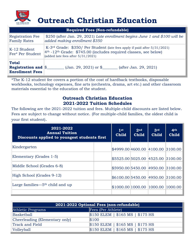

# **Outreach Christian Education**

|                                                                                     | <b>Required Fees (Non-refundable)</b>                                                                                                                                                                                |  |
|-------------------------------------------------------------------------------------|----------------------------------------------------------------------------------------------------------------------------------------------------------------------------------------------------------------------|--|
| <b>Registration Fee</b><br><b>Family Rates</b>                                      | \$250 (after Jan. 29, 2021) Late enrollment begins June 1 and \$100 will be<br>added making enrollment \$350                                                                                                         |  |
| K-12 Student<br>Fee* Per Student                                                    | K-3 <sup>rd</sup> Grade: \$350/ Per Student (late fees apply if paid after 5/31/2021)<br>$4th$ -12 <sup>th</sup> Grade: \$745.00 (includes required classes, see below)<br>$\vert$ (added late fees after 5/31/2021) |  |
| <b>Total</b><br><b>Registration and <math>\\$\</math></b><br><b>Enrollment Fees</b> | $(Jan. 29, 2021)$ or \$<br>(after Jan. 29, 2021)                                                                                                                                                                     |  |

\*The K-12 student fee covers a portion of the cost of hardback textbooks, disposable workbooks, technology expenses, fine arts (orchestra, drama, art etc.) and other classroom materials essential to the education of the student.

### **Outreach Christian Education 2021-2022 Tuition Schedules**

The following are the 2021-2022 tuition and fees. Multiple-child discounts are listed below. Fees are subject to change without notice. (For multiple-child families, the oldest child is your first student).

| 2021-2022<br><b>Annual Tuition</b><br>Discounts applied to youngest students first |  | 1 <sup>st</sup><br><b>Child</b>   | 2 <sub>nd</sub><br><b>Child</b> | 3rd<br><b>Child</b> | 4 <sup>th</sup><br><b>Child</b> |
|------------------------------------------------------------------------------------|--|-----------------------------------|---------------------------------|---------------------|---------------------------------|
| Kindergarten                                                                       |  | \$4999.00 4600.00 4100.00 3100.00 |                                 |                     |                                 |
| Elementary (Grades 1-5)                                                            |  | \$5525.00 5025.00 4525.00 3100.00 |                                 |                     |                                 |
| Middle School (Grades 6-8)                                                         |  | \$5950.00 5450.00 4950.00 3100.00 |                                 |                     |                                 |
| High School (Grades 9-12)                                                          |  | \$6100.00 5450.00 4950.00 3100.00 |                                 |                     |                                 |
| Large families— $5th$ child and up                                                 |  | \$1000.00 1000.00 1000.00         |                                 |                     | 1000.00                         |
|                                                                                    |  |                                   |                                 |                     |                                 |

| 2021-2022 Optional Fees (non-refundable) |                                   |  |  |
|------------------------------------------|-----------------------------------|--|--|
| <b>Athletic Programs</b>                 | Fees (Per Athlete)                |  |  |
| <b>Basketball</b>                        | $$150$ ELEM   \$165 MS   \$175 HS |  |  |
| Cheerleading (Elementary only)           | \$100                             |  |  |
| Track and Field                          | $$150$ ELEM   \$165 MS   \$175 HS |  |  |
| Volleyball                               | $$150$ ELEM   \$165 MS   \$175 HS |  |  |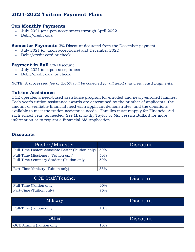### **2021-2022 Tuition Payment Plans**

#### **Ten Monthly Payments**

- July 2021 (or upon acceptance) through April 2022
- Debit/credit card

#### **Semester Payments** 3% Discount deducted from the December payment

- July 2021 (or upon acceptance) and December 2022
- Debit/credit card or check

#### **Payment in Full** 5% Discount

- July 2021 (or upon acceptance)
- Debit/credit card or check

NOTE: *A processing fee of 2.85% will be collected for all debit and credit card payments.*

#### **Tuition Assistance**

OCE operates a need-based assistance program for enrolled and newly-enrolled families. Each year's tuition assistance awards are determined by the number of applicants, the amount of verifiable financial need each applicant demonstrates, and the donations available to meet the tuition assistance needs. Families must reapply for Financial Aid each school year, as needed. See Mrs. Kathy Taylor or Ms. Jessica Bullard for more information or to request a Financial Aid Application.

#### **Discounts**

| Pastor/Minister                                   | Discount |
|---------------------------------------------------|----------|
| Full-Time Pastor: Associate Pastor (Tuition only) | 50%      |
| Full-Time Missionary (Tuition only)               | 50%      |
| Full-Time Seminary Student (Tuition only)         | 50%      |
| Part-Time Ministry (Tuition only)                 | 35%      |

| OCE Staff/Teacher        | Discount |
|--------------------------|----------|
| Full-Time (Tuition only) | 90%      |
| Part-Time (Tuition only) | 75%      |

| Military                 | Discount |
|--------------------------|----------|
| Full-Time (Tuition only) | 10%      |

| Other                            | Discount |
|----------------------------------|----------|
| <b>OCE</b> Alumni (Tuition only) | 10%      |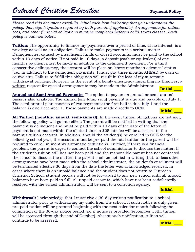*Please read this document carefully. Initial each item indicating that you understand the policy, then sign (signature required by both parents if applicable). Arrangements for tuition, fees, and other financial obligations must be completed before a child starts classes. Each policy is outlined below.* 

**Tuition:** The opportunity to finance my payments over a period of time, at no interest, is a privilege as well as an obligation. Failure to make payments is a serious matter. Delinquencies, caused by insufficient funds or closed accounts, must be paid to the school within 10 days of notice. If not paid in 10 days, a deposit (cash or equivalent) of one month's payment must be made in addition to the delinquent payment. For a third consecutive delinquency, the account will be place on "three months in advance" status (i.e., in addition to the delinquent payments, I must pay three months AHEAD by cash or equivalent). Failure to fulfill this obligation will result in the loss of my automatic withdrawal privilege. However, in the event of a family emergency impacting my finances, a written request for special arrangements may be made to the Administrator. **Initial \_\_\_\_** 

**Annual and Semi-Annual Payments:** The option to pay on an annual or semi-annual basis is also available. The annual (one lump sum) payment is due and payable on July 1. The semi-annual plan consists of two payments: the first half is due July 1 and the balance is due December 1. These payments are made directly to OCE. **Initial \_\_\_\_** 

**All Tuition (monthly, annual, semi-annual):** In the event tuition obligations are not met, the following policy will go into effect: The parent will be notified in writing that the payment is delinquent and must be paid within 10 days of the date of the letter. If payment is not made within the allotted time, a \$25 late fee will be assessed to the parent's tuition account. In addition, should the student(s) be enrolled in OCE for the following school year, the account must be pre-paid the total tuition or the parent will be required to enroll in monthly automatic deductions. Further, if there is a financial problem, the parent is urged to contact the school administrator to discuss the matter. If the student's tuition still has not been paid and the responsible parent has not contacted the school to discuss the matter, the parent shall be notified in writing that, unless other arrangements have been made with the school administrator, the student's enrollment will be terminated effective 30 days from the date the letter was acknowledged received. In cases where there is an unpaid balance and the student does not return to Outreach Christian School, student records will not be forwarded to any new school until all unpaid balances have been paid in full. All unpaid accounts, which have not been satisfactorily resolved with the school administrator, will be sent to a collection agency.

#### **Initial \_\_\_\_**

**Withdrawal:** I acknowledge that I must give a 30-day written notification to a school administrator prior to withdrawing my child from the school. If such notice is duly given, pre-paid tuition will be prorated beginning with the next calendar month following the completion of the 30-day notice period (ex. if notice is provided September 15th, tuition will be assessed through the end of October). Absent such notification, tuition will continue to be assessed. **Initial \_\_\_\_**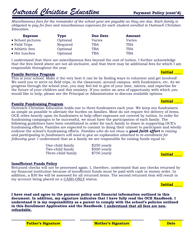*Miscellaneous fees for the remainder of the school year are payable as they are due. Each family is obligated to pay for fees and miscellaneous expenses for each student enrolled in Outreach Christian Education.*

| <b>Expense</b>    | <b>Type</b> | <b>Due Date</b> | Amount     |
|-------------------|-------------|-----------------|------------|
| • School pictures | Optional    | Varies          | Varies     |
| • Field Trips     | Required    | <b>TBA</b>      | <b>TBA</b> |
| • Athletic fees   | Optional    | <b>TBA</b>      | <b>TBA</b> |
| • Hot lunches     | Optional    | TBA             | <b>TBA</b> |

I understand that there are miscellaneous fees beyond the cost of tuition. I further acknowledge that the fees listed above are not all-inclusive, and that there may be additional fees for which I am responsible throughout the year.

#### **Family Service Program**

This is your school. Make it the very best it can be by finding ways to volunteer and get involved! We need you to serve on field trips, in the classroom, around campus, with fundraisers, etc. As we progress through the school year, you may feel led to give of your time, talents, and expertise for the future of your children and this ministry. If you notice an area of opportunity with which you would like to help, please see the Principal or Administrator to discuss available options.

#### **Family Fundraising Program**

Outreach Christian Education holds one to three fundraisers each year. We keep our fundraisers as simple as possible to alleviate the burden on families. Most do not require the delivery of items. OCE relies heavily upon its fundraisers to help offset expenses not covered by tuition. In order for fundraising campaigns to be successful, we must have the participation of each family. The following guidelines have been established in order for each family to share in supporting OCE's fundraising efforts. Families are expected to commit to doing their utmost to participate and wholly endorse the school's fundraising efforts. *Families who do not show a good faith effort in raising and participating in fundraisers will need to give an explanation attached to re-enrollment for following year.* I understand that as a family we are responsible for raising funds equal to:

| One-child family   |
|--------------------|
| Two-child family   |
| Three-child family |

 $$250$  yearly  $$500$  yearly \$750 yearly

#### **Insufficient Funds Policy**

Returned checks will not be processed again. I, therefore, understand that any checks returned by my financial institution because of insufficient funds must be paid with cash or money order. In addition, a \$30 fee will be assessed for all returned items. The second returned item will result in my account being placed on a CASH-ONLY status.



**I have read and agree to the payment policy and financial information outlined in this document. In addition, my signature indicates that I have fully read the OCE Handbook. I understand it is my responsibility as a parent to comply with the school's policies outlined in this Enrollment Application and the Handbook. I understand that all fees are nonrefundable.**



### **Initial \_\_\_\_**

**Initial \_\_\_\_** 

**Initial \_\_\_\_**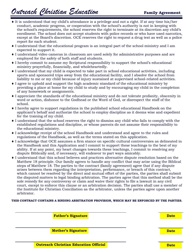# *Outreach Christian Education* **Family Agreement**

- $\bullet$  It is understood that my child's attendance is a privilege and not a right. If at any time his/her conduct, academic progress, or cooperation with the school's authority is not in keeping with the school's requirements, the school reserves the right to terminate at its discretion any child's enrollment. The school does not accept students with police records or who have used narcotics, except at the Board's discretion. OCE reserves the right to request a drug test as well as a police report for each student.
- I understand that the educational program is an integral part of the school ministry and I am expected to support it.
- I understand video cameras in classroom are used solely for administrative purposes and are employed for the safety of both staff and students.
- I hereby commit to assume my Scriptural responsibility to support the school's educational ministry prayerfully, financially, and wholeheartedly.
- I understand that my child is expected to take part in school educational activities, including sports and sponsored trips away from the educational facility, and I absolve the school from liability to me or my child because of injury sustained at supervised school-related activities.
- I agree to uphold and support the high academic standard of the educational ministry by providing a place at home for my child to study and by encouraging my child in the completion of any homework or assignments.
- I appreciate the standards of the educational ministry and do not tolerate profanity, obscenity in word or action, dishonor to the Godhead or the Word of God, or disrespect the staff of the school.
- I hereby agree to support regulations in the published school educational Handbook on the applicant's behalf and authorize the school to employ discipline as it deems wise and expedient for the training of my child.
- I understand that the school reserves the right to dismiss any child who fails to comply with the established regulations and discipline, or whose parents do not assume their responsibility to the educational ministry.
- I acknowledge receipt of the school Handbook and understand and agree to the rules and regulations of the Handbook, as well as the terms stated on this application.
- I acknowledge that OCE assumes a firm stance on specific cultural controversies as delineated in the Handbook and this Application and I commit to support these teachings to the best of my ability. If at any point, my heart changes towards these teachings, I commit to resolving any dispute Biblically and, if necessary, will endeavor to part ways amicably.
- I understand that this school believes and practices alternative dispute resolution based on the Matthew 18 principle. Our family agrees to handle any conflict that may arise using the Biblical steps of Matthew 18. The parties to the contract (family agreement) agree that if any dispute arises between them regarding the interpretation, performance, or breach of this contract, which cannot be resolved by the direct and mutual effort of the parties, the parties shall submit the disputed matters to legal binding arbitration. The parties agree that this method shall be the sole remedy for any controversy or claim and waive their rights to file a lawsuit in any civil court, except to enforce this clause or an arbitration decision. The parties shall use a member of the Institute for Christian Conciliation as the arbitrator, unless the parties agree upon another arbitrator.

#### **THIS CONTRACT CONTAINS A BINDING ARBITRATION PROVISION, WHICH MAY BE ENFORCED BY THE PARTIES.**

| <b>Father's Signature</b>                    | <b>Date</b> |
|----------------------------------------------|-------------|
|                                              |             |
| <b>Mother's Signature</b>                    | <b>Date</b> |
|                                              |             |
| <b>Outreach Christian Education Official</b> | <b>Date</b> |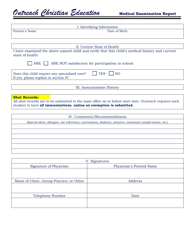| I. Identifying Information                                                                                        |  |
|-------------------------------------------------------------------------------------------------------------------|--|
| Patient's Name<br>Date of Birth                                                                                   |  |
|                                                                                                                   |  |
|                                                                                                                   |  |
| II. Current State of Health                                                                                       |  |
| I have examined the above-named child and verify that this child's medical history and current<br>state of health |  |
| ARE  <br>ARE NOT satisfactory for participation in school.                                                        |  |
| <b>YES</b><br><b>NO</b><br>Does this child require any specialized care?<br>If yes, please explain in section IV. |  |
| III. Immunization History                                                                                         |  |
|                                                                                                                   |  |
| <b>Shot Records:</b>                                                                                              |  |
| All shot records are to be submitted to the main office on or before start date. Outreach requires each           |  |
| student to have all immunizations, unless an exemption is submitted.                                              |  |
|                                                                                                                   |  |
| IV. Comments/Recommendations                                                                                      |  |
| Considered planting and infectional communication dispeters asigning emotional complications at a                 |  |

| (Special diets, allergies, ear infections, convulsions, diabetes, seizures, emotional complications, etc.) |  |
|------------------------------------------------------------------------------------------------------------|--|
|                                                                                                            |  |
|                                                                                                            |  |
|                                                                                                            |  |
|                                                                                                            |  |
|                                                                                                            |  |
|                                                                                                            |  |

|                                          | V. Signatures            |
|------------------------------------------|--------------------------|
| Signature of Physician                   | Physician's Printed Name |
|                                          |                          |
|                                          |                          |
| Name of Clinic, Group Practice, or Other | Address                  |
|                                          |                          |
|                                          |                          |
| Telephone Number                         | Date                     |
|                                          |                          |
|                                          |                          |